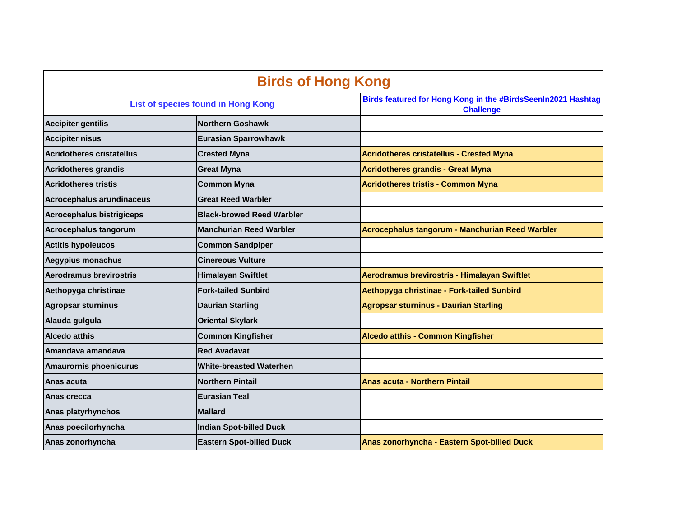|                                    | <b>Birds of Hong Kong</b>        |                                                                                  |
|------------------------------------|----------------------------------|----------------------------------------------------------------------------------|
| List of species found in Hong Kong |                                  | Birds featured for Hong Kong in the #BirdsSeenIn2021 Hashtag<br><b>Challenge</b> |
| <b>Accipiter gentilis</b>          | <b>Northern Goshawk</b>          |                                                                                  |
| <b>Accipiter nisus</b>             | <b>Eurasian Sparrowhawk</b>      |                                                                                  |
| <b>Acridotheres cristatellus</b>   | <b>Crested Myna</b>              | <b>Acridotheres cristatellus - Crested Myna</b>                                  |
| <b>Acridotheres grandis</b>        | <b>Great Myna</b>                | <b>Acridotheres grandis - Great Myna</b>                                         |
| <b>Acridotheres tristis</b>        | <b>Common Myna</b>               | <b>Acridotheres tristis - Common Myna</b>                                        |
| Acrocephalus arundinaceus          | <b>Great Reed Warbler</b>        |                                                                                  |
| <b>Acrocephalus bistrigiceps</b>   | <b>Black-browed Reed Warbler</b> |                                                                                  |
| Acrocephalus tangorum              | <b>Manchurian Reed Warbler</b>   | Acrocephalus tangorum - Manchurian Reed Warbler                                  |
| <b>Actitis hypoleucos</b>          | <b>Common Sandpiper</b>          |                                                                                  |
| <b>Aegypius monachus</b>           | Cinereous Vulture                |                                                                                  |
| Aerodramus brevirostris            | <b>Himalayan Swiftlet</b>        | Aerodramus brevirostris - Himalayan Swiftlet                                     |
| Aethopyga christinae               | <b>Fork-tailed Sunbird</b>       | Aethopyga christinae - Fork-tailed Sunbird                                       |
| <b>Agropsar sturninus</b>          | <b>Daurian Starling</b>          | <b>Agropsar sturninus - Daurian Starling</b>                                     |
| Alauda gulgula                     | <b>Oriental Skylark</b>          |                                                                                  |
| <b>Alcedo atthis</b>               | <b>Common Kingfisher</b>         | <b>Alcedo atthis - Common Kingfisher</b>                                         |
| Amandava amandava                  | <b>Red Avadavat</b>              |                                                                                  |
| <b>Amaurornis phoenicurus</b>      | <b>White-breasted Waterhen</b>   |                                                                                  |
| Anas acuta                         | <b>Northern Pintail</b>          | <b>Anas acuta - Northern Pintail</b>                                             |
| Anas crecca                        | <b>Eurasian Teal</b>             |                                                                                  |
| <b>Anas platyrhynchos</b>          | <b>Mallard</b>                   |                                                                                  |
| Anas poecilorhyncha                | <b>Indian Spot-billed Duck</b>   |                                                                                  |
| Anas zonorhyncha                   | <b>Eastern Spot-billed Duck</b>  | Anas zonorhyncha - Eastern Spot-billed Duck                                      |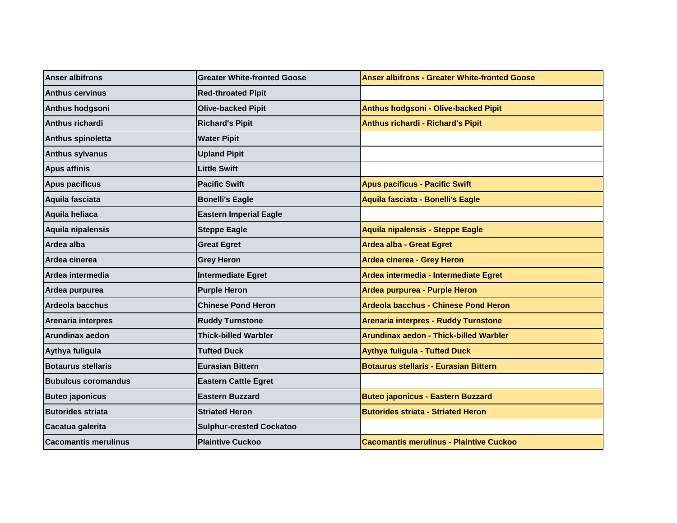| <b>Anser albifrons</b>      | <b>Greater White-fronted Goose</b> | <b>Anser albifrons - Greater White-fronted Goose</b> |
|-----------------------------|------------------------------------|------------------------------------------------------|
| <b>Anthus cervinus</b>      | <b>Red-throated Pipit</b>          |                                                      |
| Anthus hodgsoni             | <b>Olive-backed Pipit</b>          | Anthus hodgsoni - Olive-backed Pipit                 |
| Anthus richardi             | <b>Richard's Pipit</b>             | Anthus richardi - Richard's Pipit                    |
| Anthus spinoletta           | <b>Water Pipit</b>                 |                                                      |
| <b>Anthus sylvanus</b>      | <b>Upland Pipit</b>                |                                                      |
| <b>Apus affinis</b>         | <b>Little Swift</b>                |                                                      |
| <b>Apus pacificus</b>       | <b>Pacific Swift</b>               | <b>Apus pacificus - Pacific Swift</b>                |
| Aquila fasciata             | <b>Bonelli's Eagle</b>             | Aquila fasciata - Bonelli's Eagle                    |
| Aquila heliaca              | <b>Eastern Imperial Eagle</b>      |                                                      |
| Aquila nipalensis           | <b>Steppe Eagle</b>                | Aquila nipalensis - Steppe Eagle                     |
| Ardea alba                  | <b>Great Egret</b>                 | Ardea alba - Great Egret                             |
| Ardea cinerea               | <b>Grey Heron</b>                  | Ardea cinerea - Grey Heron                           |
| Ardea intermedia            | <b>Intermediate Egret</b>          | Ardea intermedia - Intermediate Egret                |
| Ardea purpurea              | <b>Purple Heron</b>                | Ardea purpurea - Purple Heron                        |
| <b>Ardeola bacchus</b>      | <b>Chinese Pond Heron</b>          | Ardeola bacchus - Chinese Pond Heron                 |
| <b>Arenaria interpres</b>   | <b>Ruddy Turnstone</b>             | <b>Arenaria interpres - Ruddy Turnstone</b>          |
| Arundinax aedon             | <b>Thick-billed Warbler</b>        | Arundinax aedon - Thick-billed Warbler               |
| Aythya fuligula             | <b>Tufted Duck</b>                 | <b>Aythya fuligula - Tufted Duck</b>                 |
| <b>Botaurus stellaris</b>   | <b>Eurasian Bittern</b>            | <b>Botaurus stellaris - Eurasian Bittern</b>         |
| <b>Bubulcus coromandus</b>  | <b>Eastern Cattle Egret</b>        |                                                      |
| <b>Buteo japonicus</b>      | <b>Eastern Buzzard</b>             | <b>Buteo japonicus - Eastern Buzzard</b>             |
| <b>Butorides striata</b>    | <b>Striated Heron</b>              | <b>Butorides striata - Striated Heron</b>            |
| Cacatua galerita            | <b>Sulphur-crested Cockatoo</b>    |                                                      |
| <b>Cacomantis merulinus</b> | <b>Plaintive Cuckoo</b>            | <b>Cacomantis merulinus - Plaintive Cuckoo</b>       |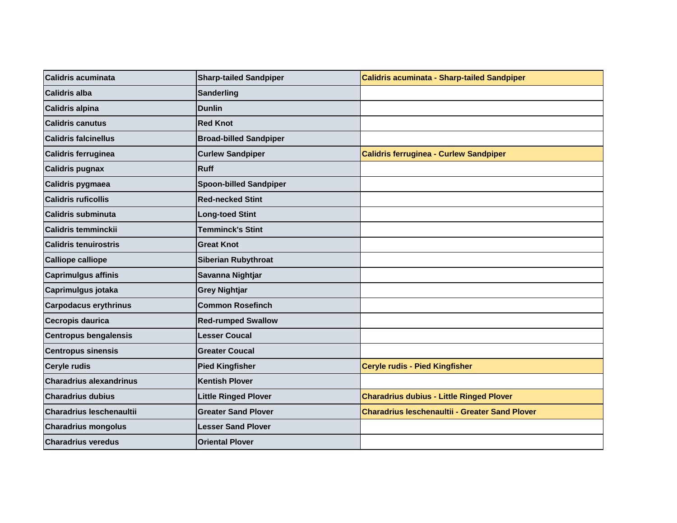| <b>Calidris acuminata</b>       | <b>Sharp-tailed Sandpiper</b> | Calidris acuminata - Sharp-tailed Sandpiper           |
|---------------------------------|-------------------------------|-------------------------------------------------------|
| <b>Calidris alba</b>            | Sanderling                    |                                                       |
| <b>Calidris alpina</b>          | <b>Dunlin</b>                 |                                                       |
| <b>Calidris canutus</b>         | <b>Red Knot</b>               |                                                       |
| <b>Calidris falcinellus</b>     | <b>Broad-billed Sandpiper</b> |                                                       |
| Calidris ferruginea             | <b>Curlew Sandpiper</b>       | <b>Calidris ferruginea - Curlew Sandpiper</b>         |
| <b>Calidris pugnax</b>          | Ruff                          |                                                       |
| Calidris pygmaea                | <b>Spoon-billed Sandpiper</b> |                                                       |
| <b>Calidris ruficollis</b>      | <b>Red-necked Stint</b>       |                                                       |
| <b>Calidris subminuta</b>       | <b>Long-toed Stint</b>        |                                                       |
| <b>Calidris temminckii</b>      | <b>Temminck's Stint</b>       |                                                       |
| <b>Calidris tenuirostris</b>    | <b>Great Knot</b>             |                                                       |
| <b>Calliope calliope</b>        | <b>Siberian Rubythroat</b>    |                                                       |
| <b>Caprimulgus affinis</b>      | Savanna Nightjar              |                                                       |
| Caprimulgus jotaka              | <b>Grey Nightjar</b>          |                                                       |
| <b>Carpodacus erythrinus</b>    | <b>Common Rosefinch</b>       |                                                       |
| Cecropis daurica                | <b>Red-rumped Swallow</b>     |                                                       |
| <b>Centropus bengalensis</b>    | <b>Lesser Coucal</b>          |                                                       |
| <b>Centropus sinensis</b>       | <b>Greater Coucal</b>         |                                                       |
| <b>Ceryle rudis</b>             | <b>Pied Kingfisher</b>        | Ceryle rudis - Pied Kingfisher                        |
| <b>Charadrius alexandrinus</b>  | <b>Kentish Plover</b>         |                                                       |
| <b>Charadrius dubius</b>        | <b>Little Ringed Plover</b>   | <b>Charadrius dubius - Little Ringed Plover</b>       |
| <b>Charadrius leschenaultii</b> | <b>Greater Sand Plover</b>    | <b>Charadrius leschenaultii - Greater Sand Plover</b> |
| <b>Charadrius mongolus</b>      | <b>Lesser Sand Plover</b>     |                                                       |
| <b>Charadrius veredus</b>       | <b>Oriental Plover</b>        |                                                       |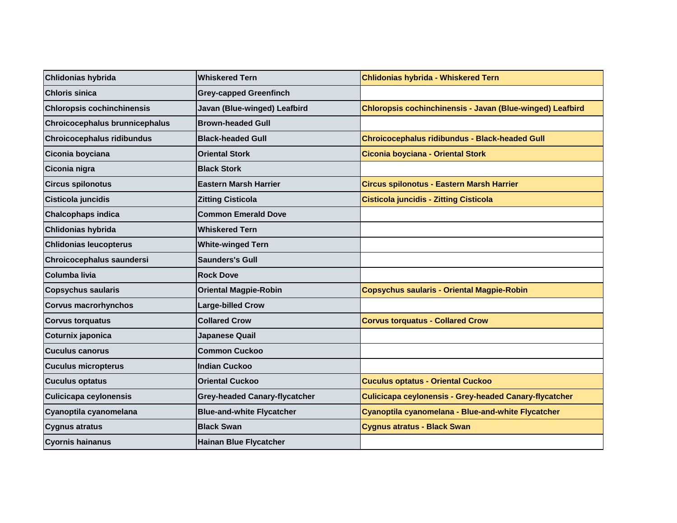| Chlidonias hybrida                | <b>Whiskered Tern</b>                | Chlidonias hybrida - Whiskered Tern                           |
|-----------------------------------|--------------------------------------|---------------------------------------------------------------|
| <b>Chloris sinica</b>             | <b>Grey-capped Greenfinch</b>        |                                                               |
| <b>Chloropsis cochinchinensis</b> | Javan (Blue-winged) Leafbird         | Chloropsis cochinchinensis - Javan (Blue-winged) Leafbird     |
| Chroicocephalus brunnicephalus    | <b>Brown-headed Gull</b>             |                                                               |
| <b>Chroicocephalus ridibundus</b> | <b>Black-headed Gull</b>             | <b>Chroicocephalus ridibundus - Black-headed Gull</b>         |
| Ciconia boyciana                  | <b>Oriental Stork</b>                | Ciconia boyciana - Oriental Stork                             |
| Ciconia nigra                     | <b>Black Stork</b>                   |                                                               |
| <b>Circus spilonotus</b>          | <b>Eastern Marsh Harrier</b>         | Circus spilonotus - Eastern Marsh Harrier                     |
| Cisticola juncidis                | <b>Zitting Cisticola</b>             | <b>Cisticola juncidis - Zitting Cisticola</b>                 |
| <b>Chalcophaps indica</b>         | <b>Common Emerald Dove</b>           |                                                               |
| <b>Chlidonias hybrida</b>         | <b>Whiskered Tern</b>                |                                                               |
| <b>Chlidonias leucopterus</b>     | <b>White-winged Tern</b>             |                                                               |
| Chroicocephalus saundersi         | <b>Saunders's Gull</b>               |                                                               |
| Columba livia                     | <b>Rock Dove</b>                     |                                                               |
| <b>Copsychus saularis</b>         | <b>Oriental Magpie-Robin</b>         | Copsychus saularis - Oriental Magpie-Robin                    |
| <b>Corvus macrorhynchos</b>       | <b>Large-billed Crow</b>             |                                                               |
| <b>Corvus torquatus</b>           | <b>Collared Crow</b>                 | <b>Corvus torquatus - Collared Crow</b>                       |
| Coturnix japonica                 | Japanese Quail                       |                                                               |
| <b>Cuculus canorus</b>            | <b>Common Cuckoo</b>                 |                                                               |
| <b>Cuculus micropterus</b>        | <b>Indian Cuckoo</b>                 |                                                               |
| <b>Cuculus optatus</b>            | <b>Oriental Cuckoo</b>               | <b>Cuculus optatus - Oriental Cuckoo</b>                      |
| <b>Culicicapa ceylonensis</b>     | <b>Grey-headed Canary-flycatcher</b> | <b>Culicicapa ceylonensis - Grey-headed Canary-flycatcher</b> |
| Cyanoptila cyanomelana            | <b>Blue-and-white Flycatcher</b>     | Cyanoptila cyanomelana - Blue-and-white Flycatcher            |
| <b>Cygnus atratus</b>             | <b>Black Swan</b>                    | <b>Cygnus atratus - Black Swan</b>                            |
| <b>Cyornis hainanus</b>           | <b>Hainan Blue Flycatcher</b>        |                                                               |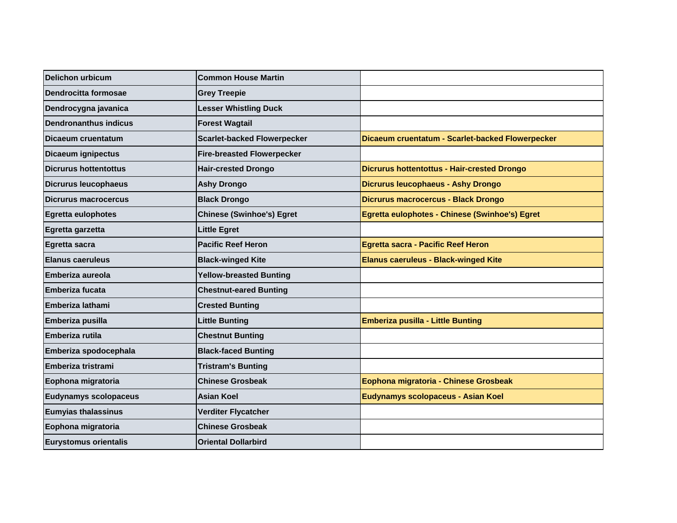| <b>Delichon urbicum</b>      | <b>Common House Martin</b>         |                                                    |
|------------------------------|------------------------------------|----------------------------------------------------|
| Dendrocitta formosae         | <b>Grey Treepie</b>                |                                                    |
| Dendrocygna javanica         | <b>Lesser Whistling Duck</b>       |                                                    |
| <b>Dendronanthus indicus</b> | <b>Forest Wagtail</b>              |                                                    |
| Dicaeum cruentatum           | <b>Scarlet-backed Flowerpecker</b> | Dicaeum cruentatum - Scarlet-backed Flowerpecker   |
| Dicaeum ignipectus           | <b>Fire-breasted Flowerpecker</b>  |                                                    |
| Dicrurus hottentottus        | <b>Hair-crested Drongo</b>         | <b>Dicrurus hottentottus - Hair-crested Drongo</b> |
| <b>Dicrurus leucophaeus</b>  | <b>Ashy Drongo</b>                 | <b>Dicrurus leucophaeus - Ashy Drongo</b>          |
| <b>Dicrurus macrocercus</b>  | <b>Black Drongo</b>                | <b>Dicrurus macrocercus - Black Drongo</b>         |
| <b>Egretta eulophotes</b>    | <b>Chinese (Swinhoe's) Egret</b>   | Egretta eulophotes - Chinese (Swinhoe's) Egret     |
| Egretta garzetta             | <b>Little Egret</b>                |                                                    |
| Egretta sacra                | <b>Pacific Reef Heron</b>          | <b>Egretta sacra - Pacific Reef Heron</b>          |
| <b>Elanus caeruleus</b>      | <b>Black-winged Kite</b>           | <b>Elanus caeruleus - Black-winged Kite</b>        |
| <b>Emberiza aureola</b>      | <b>Yellow-breasted Bunting</b>     |                                                    |
| <b>Emberiza fucata</b>       | <b>Chestnut-eared Bunting</b>      |                                                    |
| Emberiza lathami             | <b>Crested Bunting</b>             |                                                    |
| Emberiza pusilla             | <b>Little Bunting</b>              | <b>Emberiza pusilla - Little Bunting</b>           |
| Emberiza rutila              | <b>Chestnut Bunting</b>            |                                                    |
| Emberiza spodocephala        | <b>Black-faced Bunting</b>         |                                                    |
| Emberiza tristrami           | <b>Tristram's Bunting</b>          |                                                    |
| Eophona migratoria           | <b>Chinese Grosbeak</b>            | Eophona migratoria - Chinese Grosbeak              |
| <b>Eudynamys scolopaceus</b> | <b>Asian Koel</b>                  | Eudynamys scolopaceus - Asian Koel                 |
| <b>Eumyias thalassinus</b>   | Verditer Flycatcher                |                                                    |
| Eophona migratoria           | <b>Chinese Grosbeak</b>            |                                                    |
| <b>Eurystomus orientalis</b> | <b>Oriental Dollarbird</b>         |                                                    |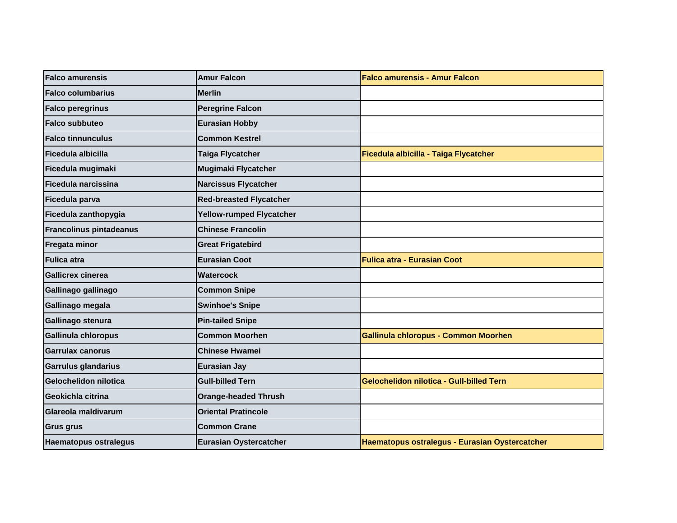| <b>Falco amurensis</b>         | <b>Amur Falcon</b>              | <b>Falco amurensis - Amur Falcon</b>            |
|--------------------------------|---------------------------------|-------------------------------------------------|
| <b>Falco columbarius</b>       | <b>Merlin</b>                   |                                                 |
| <b>Falco peregrinus</b>        | <b>Peregrine Falcon</b>         |                                                 |
| <b>Falco subbuteo</b>          | <b>Eurasian Hobby</b>           |                                                 |
| <b>Falco tinnunculus</b>       | <b>Common Kestrel</b>           |                                                 |
| Ficedula albicilla             | <b>Taiga Flycatcher</b>         | Ficedula albicilla - Taiga Flycatcher           |
| Ficedula mugimaki              | <b>Mugimaki Flycatcher</b>      |                                                 |
| Ficedula narcissina            | <b>Narcissus Flycatcher</b>     |                                                 |
| Ficedula parva                 | <b>Red-breasted Flycatcher</b>  |                                                 |
| Ficedula zanthopygia           | <b>Yellow-rumped Flycatcher</b> |                                                 |
| <b>Francolinus pintadeanus</b> | <b>Chinese Francolin</b>        |                                                 |
| Fregata minor                  | <b>Great Frigatebird</b>        |                                                 |
| <b>Fulica atra</b>             | <b>Eurasian Coot</b>            | <b>Fulica atra - Eurasian Coot</b>              |
| <b>Gallicrex cinerea</b>       | <b>Watercock</b>                |                                                 |
| Gallinago gallinago            | <b>Common Snipe</b>             |                                                 |
| Gallinago megala               | <b>Swinhoe's Snipe</b>          |                                                 |
| Gallinago stenura              | <b>Pin-tailed Snipe</b>         |                                                 |
| Gallinula chloropus            | <b>Common Moorhen</b>           | <b>Gallinula chloropus - Common Moorhen</b>     |
| Garrulax canorus               | <b>Chinese Hwamei</b>           |                                                 |
| Garrulus glandarius            | <b>Eurasian Jay</b>             |                                                 |
| Gelochelidon nilotica          | <b>Gull-billed Tern</b>         | <b>Gelochelidon nilotica - Gull-billed Tern</b> |
| Geokichla citrina              | <b>Orange-headed Thrush</b>     |                                                 |
| Glareola maldivarum            | <b>Oriental Pratincole</b>      |                                                 |
| <b>Grus grus</b>               | <b>Common Crane</b>             |                                                 |
| <b>Haematopus ostralegus</b>   | <b>Eurasian Oystercatcher</b>   | Haematopus ostralegus - Eurasian Oystercatcher  |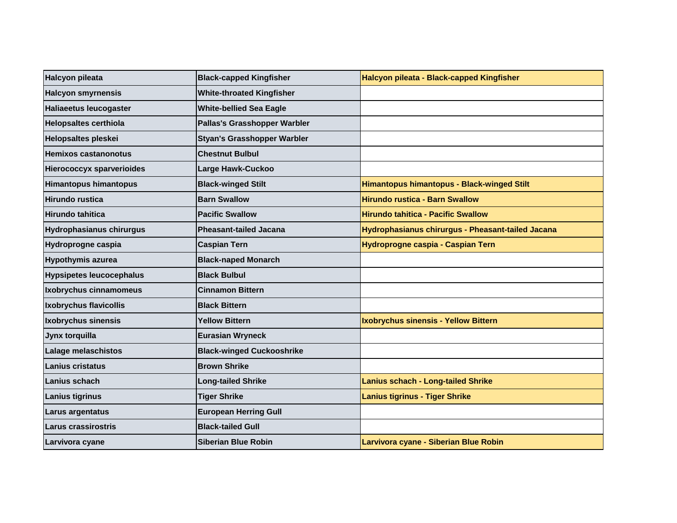| <b>Halcyon pileata</b>           | <b>Black-capped Kingfisher</b>     | Halcyon pileata - Black-capped Kingfisher         |
|----------------------------------|------------------------------------|---------------------------------------------------|
| <b>Halcyon smyrnensis</b>        | <b>White-throated Kingfisher</b>   |                                                   |
| <b>Haliaeetus leucogaster</b>    | <b>White-bellied Sea Eagle</b>     |                                                   |
| <b>Helopsaltes certhiola</b>     | Pallas's Grasshopper Warbler       |                                                   |
| <b>Helopsaltes pleskei</b>       | <b>Styan's Grasshopper Warbler</b> |                                                   |
| Hemixos castanonotus             | <b>Chestnut Bulbul</b>             |                                                   |
| <b>Hierococcyx sparverioides</b> | Large Hawk-Cuckoo                  |                                                   |
| <b>Himantopus himantopus</b>     | <b>Black-winged Stilt</b>          | <b>Himantopus himantopus - Black-winged Stilt</b> |
| <b>Hirundo rustica</b>           | <b>Barn Swallow</b>                | <b>Hirundo rustica - Barn Swallow</b>             |
| Hirundo tahitica                 | <b>Pacific Swallow</b>             | <b>Hirundo tahitica - Pacific Swallow</b>         |
| <b>Hydrophasianus chirurgus</b>  | <b>Pheasant-tailed Jacana</b>      | Hydrophasianus chirurgus - Pheasant-tailed Jacana |
| Hydroprogne caspia               | <b>Caspian Tern</b>                | Hydroprogne caspia - Caspian Tern                 |
| <b>Hypothymis azurea</b>         | <b>Black-naped Monarch</b>         |                                                   |
| <b>Hypsipetes leucocephalus</b>  | <b>Black Bulbul</b>                |                                                   |
| Ixobrychus cinnamomeus           | <b>Cinnamon Bittern</b>            |                                                   |
| Ixobrychus flavicollis           | <b>Black Bittern</b>               |                                                   |
| Ixobrychus sinensis              | <b>Yellow Bittern</b>              | Ixobrychus sinensis - Yellow Bittern              |
| Jynx torquilla                   | <b>Eurasian Wryneck</b>            |                                                   |
| Lalage melaschistos              | <b>Black-winged Cuckooshrike</b>   |                                                   |
| Lanius cristatus                 | <b>Brown Shrike</b>                |                                                   |
| Lanius schach                    | <b>Long-tailed Shrike</b>          | <b>Lanius schach - Long-tailed Shrike</b>         |
| <b>Lanius tigrinus</b>           | <b>Tiger Shrike</b>                | <b>Lanius tigrinus - Tiger Shrike</b>             |
| Larus argentatus                 | <b>European Herring Gull</b>       |                                                   |
| Larus crassirostris              | <b>Black-tailed Gull</b>           |                                                   |
| Larvivora cyane                  | Siberian Blue Robin                | Larvivora cyane - Siberian Blue Robin             |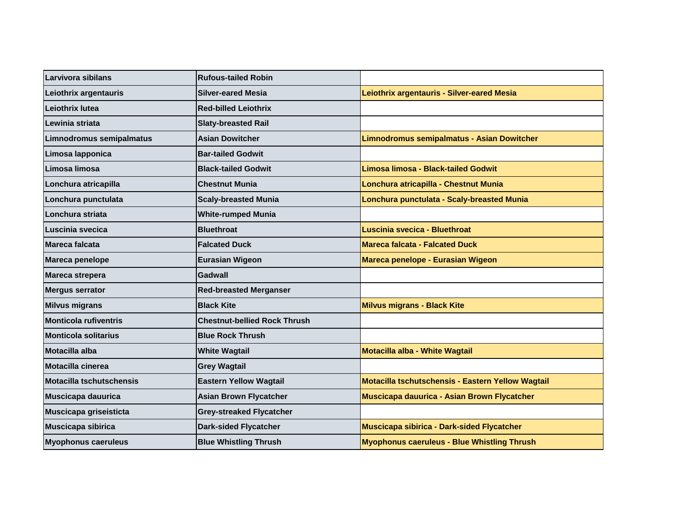| Larvivora sibilans           | <b>Rufous-tailed Robin</b>          |                                                    |
|------------------------------|-------------------------------------|----------------------------------------------------|
| Leiothrix argentauris        | <b>Silver-eared Mesia</b>           | Leiothrix argentauris - Silver-eared Mesia         |
| Leiothrix lutea              | <b>Red-billed Leiothrix</b>         |                                                    |
| Lewinia striata              | <b>Slaty-breasted Rail</b>          |                                                    |
| Limnodromus semipalmatus     | <b>Asian Dowitcher</b>              | Limnodromus semipalmatus - Asian Dowitcher         |
| Limosa lapponica             | <b>Bar-tailed Godwit</b>            |                                                    |
| Limosa limosa                | <b>Black-tailed Godwit</b>          | Limosa limosa - Black-tailed Godwit                |
| Lonchura atricapilla         | <b>Chestnut Munia</b>               | Lonchura atricapilla - Chestnut Munia              |
| Lonchura punctulata          | <b>Scaly-breasted Munia</b>         | Lonchura punctulata - Scaly-breasted Munia         |
| Lonchura striata             | <b>White-rumped Munia</b>           |                                                    |
| Luscinia svecica             | <b>Bluethroat</b>                   | Luscinia svecica - Bluethroat                      |
| Mareca falcata               | <b>Falcated Duck</b>                | <b>Mareca falcata - Falcated Duck</b>              |
| Mareca penelope              | <b>Eurasian Wigeon</b>              | Mareca penelope - Eurasian Wigeon                  |
| Mareca strepera              | Gadwall                             |                                                    |
| <b>Mergus serrator</b>       | <b>Red-breasted Merganser</b>       |                                                    |
| <b>Milvus migrans</b>        | <b>Black Kite</b>                   | <b>Milvus migrans - Black Kite</b>                 |
| <b>Monticola rufiventris</b> | <b>Chestnut-bellied Rock Thrush</b> |                                                    |
| <b>Monticola solitarius</b>  | <b>Blue Rock Thrush</b>             |                                                    |
| Motacilla alba               | <b>White Wagtail</b>                | Motacilla alba - White Wagtail                     |
| Motacilla cinerea            | <b>Grey Wagtail</b>                 |                                                    |
| Motacilla tschutschensis     | <b>Eastern Yellow Wagtail</b>       | Motacilla tschutschensis - Eastern Yellow Wagtail  |
| <b>Muscicapa dauurica</b>    | <b>Asian Brown Flycatcher</b>       | Muscicapa dauurica - Asian Brown Flycatcher        |
| Muscicapa griseisticta       | <b>Grey-streaked Flycatcher</b>     |                                                    |
| Muscicapa sibirica           | <b>Dark-sided Flycatcher</b>        | Muscicapa sibirica - Dark-sided Flycatcher         |
| <b>Myophonus caeruleus</b>   | <b>Blue Whistling Thrush</b>        | <b>Myophonus caeruleus - Blue Whistling Thrush</b> |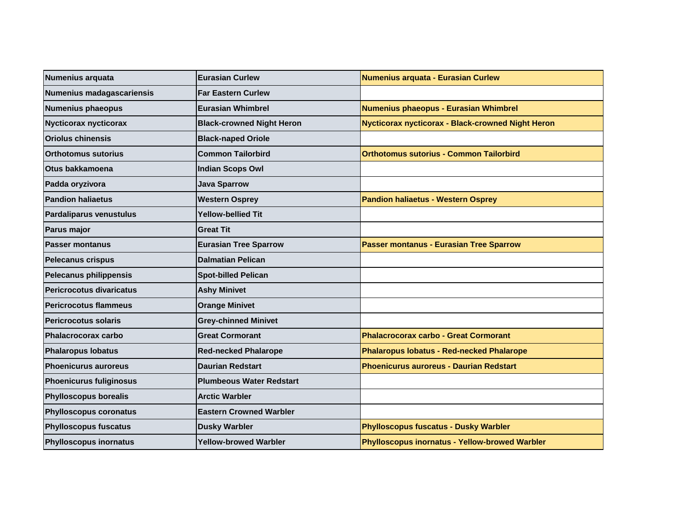| Numenius arquata               | <b>Eurasian Curlew</b>           | Numenius arquata - Eurasian Curlew                |
|--------------------------------|----------------------------------|---------------------------------------------------|
| Numenius madagascariensis      | <b>Far Eastern Curlew</b>        |                                                   |
| <b>Numenius phaeopus</b>       | <b>Eurasian Whimbrel</b>         | Numenius phaeopus - Eurasian Whimbrel             |
| <b>Nycticorax nycticorax</b>   | <b>Black-crowned Night Heron</b> | Nycticorax nycticorax - Black-crowned Night Heron |
| <b>Oriolus chinensis</b>       | <b>Black-naped Oriole</b>        |                                                   |
| <b>Orthotomus sutorius</b>     | <b>Common Tailorbird</b>         | <b>Orthotomus sutorius - Common Tailorbird</b>    |
| Otus bakkamoena                | <b>Indian Scops Owl</b>          |                                                   |
| Padda oryzivora                | <b>Java Sparrow</b>              |                                                   |
| <b>Pandion haliaetus</b>       | <b>Western Osprey</b>            | <b>Pandion haliaetus - Western Osprey</b>         |
| <b>Pardaliparus venustulus</b> | <b>Yellow-bellied Tit</b>        |                                                   |
| Parus major                    | <b>Great Tit</b>                 |                                                   |
| <b>Passer montanus</b>         | <b>Eurasian Tree Sparrow</b>     | <b>Passer montanus - Eurasian Tree Sparrow</b>    |
| <b>Pelecanus crispus</b>       | <b>Dalmatian Pelican</b>         |                                                   |
| Pelecanus philippensis         | <b>Spot-billed Pelican</b>       |                                                   |
| Pericrocotus divaricatus       | <b>Ashy Minivet</b>              |                                                   |
| <b>Pericrocotus flammeus</b>   | <b>Orange Minivet</b>            |                                                   |
| <b>Pericrocotus solaris</b>    | <b>Grey-chinned Minivet</b>      |                                                   |
| <b>Phalacrocorax carbo</b>     | <b>Great Cormorant</b>           | <b>Phalacrocorax carbo - Great Cormorant</b>      |
| <b>Phalaropus lobatus</b>      | <b>Red-necked Phalarope</b>      | <b>Phalaropus lobatus - Red-necked Phalarope</b>  |
| <b>Phoenicurus auroreus</b>    | <b>Daurian Redstart</b>          | <b>Phoenicurus auroreus - Daurian Redstart</b>    |
| <b>Phoenicurus fuliginosus</b> | <b>Plumbeous Water Redstart</b>  |                                                   |
| <b>Phylloscopus borealis</b>   | <b>Arctic Warbler</b>            |                                                   |
| <b>Phylloscopus coronatus</b>  | <b>Eastern Crowned Warbler</b>   |                                                   |
| <b>Phylloscopus fuscatus</b>   | <b>Dusky Warbler</b>             | <b>Phylloscopus fuscatus - Dusky Warbler</b>      |
| <b>Phylloscopus inornatus</b>  | <b>Yellow-browed Warbler</b>     | Phylloscopus inornatus - Yellow-browed Warbler    |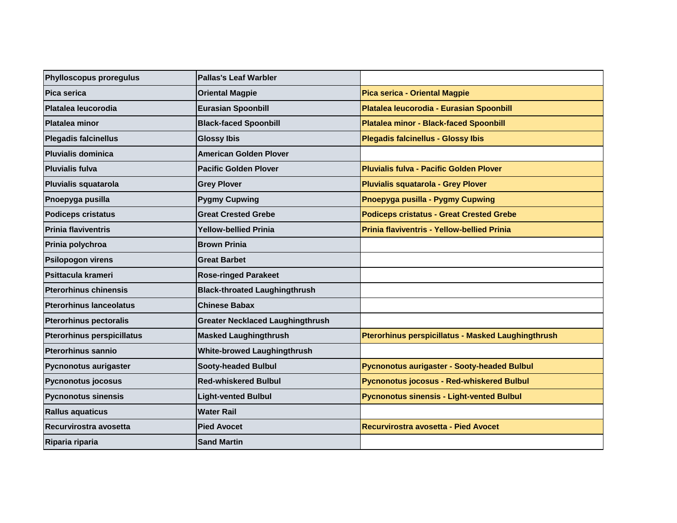| Phylloscopus proregulus           | <b>Pallas's Leaf Warbler</b>            |                                                    |
|-----------------------------------|-----------------------------------------|----------------------------------------------------|
| Pica serica                       | <b>Oriental Magpie</b>                  | Pica serica - Oriental Magpie                      |
| Platalea leucorodia               | <b>Eurasian Spoonbill</b>               | Platalea leucorodia - Eurasian Spoonbill           |
| <b>Platalea minor</b>             | <b>Black-faced Spoonbill</b>            | <b>Platalea minor - Black-faced Spoonbill</b>      |
| <b>Plegadis falcinellus</b>       | <b>Glossy Ibis</b>                      | <b>Plegadis falcinellus - Glossy Ibis</b>          |
| <b>Pluvialis dominica</b>         | American Golden Plover                  |                                                    |
| <b>Pluvialis fulva</b>            | <b>Pacific Golden Plover</b>            | <b>Pluvialis fulva - Pacific Golden Plover</b>     |
| Pluvialis squatarola              | <b>Grey Plover</b>                      | <b>Pluvialis squatarola - Grey Plover</b>          |
| Pnoepyga pusilla                  | <b>Pygmy Cupwing</b>                    | Pnoepyga pusilla - Pygmy Cupwing                   |
| <b>Podiceps cristatus</b>         | <b>Great Crested Grebe</b>              | <b>Podiceps cristatus - Great Crested Grebe</b>    |
| <b>Prinia flaviventris</b>        | <b>Yellow-bellied Prinia</b>            | Prinia flaviventris - Yellow-bellied Prinia        |
| Prinia polychroa                  | <b>Brown Prinia</b>                     |                                                    |
| <b>Psilopogon virens</b>          | <b>Great Barbet</b>                     |                                                    |
| Psittacula krameri                | <b>Rose-ringed Parakeet</b>             |                                                    |
| <b>Pterorhinus chinensis</b>      | <b>Black-throated Laughingthrush</b>    |                                                    |
| <b>Pterorhinus lanceolatus</b>    | <b>Chinese Babax</b>                    |                                                    |
| <b>Pterorhinus pectoralis</b>     | <b>Greater Necklaced Laughingthrush</b> |                                                    |
| <b>Pterorhinus perspicillatus</b> | <b>Masked Laughingthrush</b>            | Pterorhinus perspicillatus - Masked Laughingthrush |
| <b>Pterorhinus sannio</b>         | <b>White-browed Laughingthrush</b>      |                                                    |
| <b>Pycnonotus aurigaster</b>      | <b>Sooty-headed Bulbul</b>              | <b>Pycnonotus aurigaster - Sooty-headed Bulbul</b> |
| <b>Pycnonotus jocosus</b>         | <b>Red-whiskered Bulbul</b>             | <b>Pycnonotus jocosus - Red-whiskered Bulbul</b>   |
| <b>Pycnonotus sinensis</b>        | <b>Light-vented Bulbul</b>              | <b>Pycnonotus sinensis - Light-vented Bulbul</b>   |
| <b>Rallus aquaticus</b>           | <b>Water Rail</b>                       |                                                    |
| Recurvirostra avosetta            | <b>Pied Avocet</b>                      | Recurvirostra avosetta - Pied Avocet               |
| Riparia riparia                   | <b>Sand Martin</b>                      |                                                    |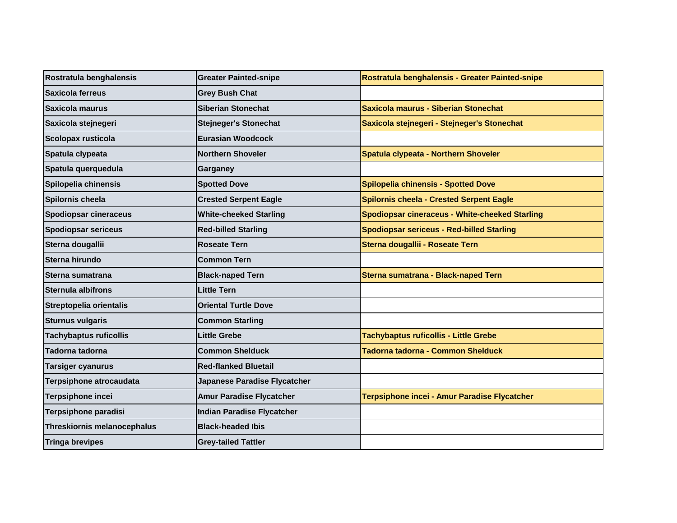| Rostratula benghalensis            | <b>Greater Painted-snipe</b>      | Rostratula benghalensis - Greater Painted-snipe       |
|------------------------------------|-----------------------------------|-------------------------------------------------------|
| Saxicola ferreus                   | <b>Grey Bush Chat</b>             |                                                       |
| Saxicola maurus                    | <b>Siberian Stonechat</b>         | Saxicola maurus - Siberian Stonechat                  |
| Saxicola stejnegeri                | <b>Stejneger's Stonechat</b>      | Saxicola stejnegeri - Stejneger's Stonechat           |
| Scolopax rusticola                 | <b>Eurasian Woodcock</b>          |                                                       |
| Spatula clypeata                   | <b>Northern Shoveler</b>          | Spatula clypeata - Northern Shoveler                  |
| Spatula querquedula                | Garganey                          |                                                       |
| Spilopelia chinensis               | <b>Spotted Dove</b>               | <b>Spilopelia chinensis - Spotted Dove</b>            |
| Spilornis cheela                   | <b>Crested Serpent Eagle</b>      | <b>Spilornis cheela - Crested Serpent Eagle</b>       |
| <b>Spodiopsar cineraceus</b>       | <b>White-cheeked Starling</b>     | <b>Spodiopsar cineraceus - White-cheeked Starling</b> |
| <b>Spodiopsar sericeus</b>         | <b>Red-billed Starling</b>        | <b>Spodiopsar sericeus - Red-billed Starling</b>      |
| Sterna dougallii                   | <b>Roseate Tern</b>               | Sterna dougallii - Roseate Tern                       |
| Sterna hirundo                     | <b>Common Tern</b>                |                                                       |
| Sterna sumatrana                   | <b>Black-naped Tern</b>           | Sterna sumatrana - Black-naped Tern                   |
| Sternula albifrons                 | <b>Little Tern</b>                |                                                       |
| Streptopelia orientalis            | <b>Oriental Turtle Dove</b>       |                                                       |
| <b>Sturnus vulgaris</b>            | <b>Common Starling</b>            |                                                       |
| <b>Tachybaptus ruficollis</b>      | <b>Little Grebe</b>               | <b>Tachybaptus ruficollis - Little Grebe</b>          |
| Tadorna tadorna                    | <b>Common Shelduck</b>            | Tadorna tadorna - Common Shelduck                     |
| Tarsiger cyanurus                  | <b>Red-flanked Bluetail</b>       |                                                       |
| Terpsiphone atrocaudata            | Japanese Paradise Flycatcher      |                                                       |
| Terpsiphone incei                  | <b>Amur Paradise Flycatcher</b>   | Terpsiphone incei - Amur Paradise Flycatcher          |
| Terpsiphone paradisi               | <b>Indian Paradise Flycatcher</b> |                                                       |
| <b>Threskiornis melanocephalus</b> | <b>Black-headed Ibis</b>          |                                                       |
| <b>Tringa brevipes</b>             | <b>Grey-tailed Tattler</b>        |                                                       |